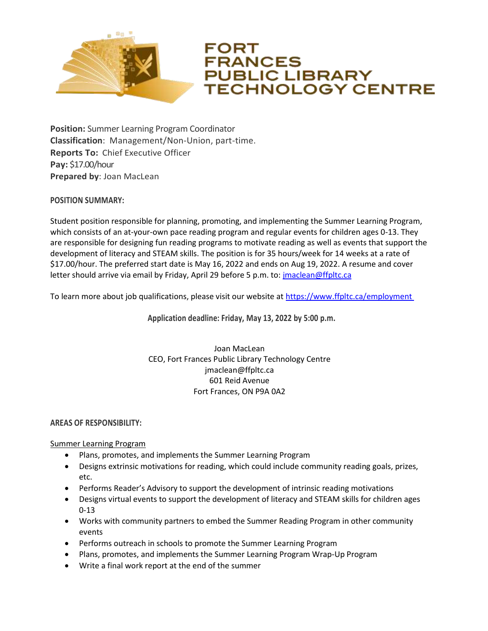

# FORT **FRANCES PUBLIC LIBRARY TECHNOLOGY CENTRE**

**Position:** Summer Learning Program Coordinator **Classification**: Management/Non-Union, part-time. **Reports To:** Chief Executive Officer **Pay:** \$17.00/hour **Prepared by**: Joan MacLean

# **POSITION SUMMARY:**

Student position responsible for planning, promoting, and implementing the Summer Learning Program, which consists of an at-your-own pace reading program and regular events for children ages 0-13. They are responsible for designing fun reading programs to motivate reading as well as events that support the development of literacy and STEAM skills. The position is for 35 hours/week for 14 weeks at a rate of \$17.00/hour. The preferred start date is May 16, 2022 and ends on Aug 19, 2022. A resume and cover letter should arrive via email by Friday, April 29 before 5 p.m. to: [jmaclean@ffpltc.ca](mailto:jmaclean@ffpltc.ca)

To learn more about job qualifications, please visit our website a[t https://www.ffpltc.ca/employment](https://www.ffpltc.ca/employment)

**Application deadline: Friday, May 13, 2022 by 5:00 p.m.**

## Joan MacLean CEO, Fort Frances Public Library Technology Centre jmaclean@ffpltc.ca 601 Reid Avenue Fort Frances, ON P9A 0A2

## **AREAS OF RESPONSIBILITY:**

Summer Learning Program

- Plans, promotes, and implements the Summer Learning Program
- Designs extrinsic motivations for reading, which could include community reading goals, prizes, etc.
- Performs Reader's Advisory to support the development of intrinsic reading motivations
- Designs virtual events to support the development of literacy and STEAM skills for children ages 0-13
- Works with community partners to embed the Summer Reading Program in other community events
- Performs outreach in schools to promote the Summer Learning Program
- Plans, promotes, and implements the Summer Learning Program Wrap-Up Program
- Write a final work report at the end of the summer